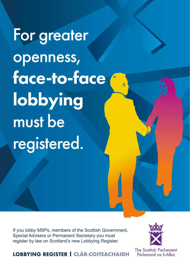For greater openness, face-to-face lobbying must be registered.

If you lobby MSPs, members of the Scottish Government, Special Advisers or Permanent Secretary you must register by law on Scotland's new Lobbying Register.



**LOBBYING REGISTER | CLÀR-COITEACHAIDH**

The Scottish Parliament Pàrlamaid na h-Alba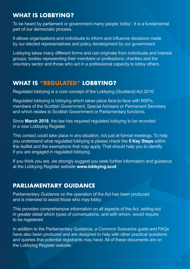## **WHAT IS LOBBYING?**

To be heard by parliament or government many people 'lobby'. It is a fundamental part of our democratic process.

It allows organisations and individuals to inform and influence decisions made by our elected representatives and policy development by our government.

Lobbying takes many different forms and can originate from individuals and interest groups; bodies representing their members or professions; charities and the voluntary sector and those who act in a professional capacity to lobby others.

## **WHAT IS "REGULATED" LOBBYING?**

Regulated lobbying is a core concept of the Lobbying (Scotland) Act 2016.

Regulated lobbying is lobbying which takes place face-to-face with MSPs, members of the Scottish Government, Special Advisers or Permanent Secretary and which relates to Scottish Government or Parliamentary functions.

Since **March 2018**, the law has required regulated lobbying to be recorded in a new Lobbying Register.

This contact could take place in any situation, not just at formal meetings. To help you understand what regulated lobbying is please check the **5 Key Steps** within this leaflet and the exemptions that may apply. That should help you to identify if you are engaged in regulated lobbying.

If you think you are, we strongly suggest you seek further information and guidance at the Lobbying Register website **www.lobbying.scot**

# **PARLIAMENTARY GUIDANCE**

Parliamentary Guidance on the operation of the Act has been produced and is intended to assist those who may lobby.

This provides comprehensive information on all aspects of the Act, setting out in greater detail which types of conversations, and with whom, would require to be registered.

In addition to the Parliamentary Guidance, a Common Scenarios guide and FAQs have also been produced and are designed to help with other practical questions and queries that potential registrants may have. All of these documents are on the Lobbying Register website.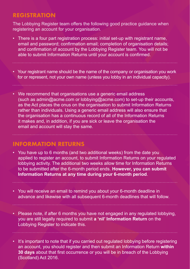#### **REGISTRATION**

The Lobbying Register team offers the following good practice guidance when registering an account for your organisation.

- There is a four part registration process: initial set-up with registrant name, email and password; confirmation email; completion of organisation details; and confirmation of account by the Lobbying Register team. You will not be able to submit Information Returns until your account is confirmed.
- Your registrant name should be the name of the company or organisation you work for or represent, not your own name (unless you lobby in an individual capacity).
- We recommend that organisations use a generic email address (such as admin@acme.com or lobbying@acme.com) to set-up their accounts, as the Act places the onus on the organisation to submit Information Returns rather than individuals. Using a generic email address will also ensure that the organisation has a continuous record of all of the Information Returns it makes and, in addition, if you are sick or leave the organisation the email and account will stay the same.

#### **INFORMATION RETURNS**

- You have up to 6 months (and two additional weeks) from the date you applied to register an account, to submit Information Returns on your regulated lobbying activity. The additional two weeks allow time for Information Returns to be submitted after the 6-month period ends. **However, you can submit Information Returns at any time during your 6-month period**.
- You will receive an email to remind you about your 6-month deadline in advance and likewise with all subsequent 6-month deadlines that will follow.
- Please note, if after 6 months you have not engaged in any regulated lobbying, you are still legally required to submit **a 'nil' Information Return** on the Lobbying Register to indicate this.
- It's important to note that if you carried out regulated lobbying before registering an account, you should register and then submit an Information Return **within 30 days** about that first occurrence or you will be in breach of the Lobbying (Scotland) Act 2016.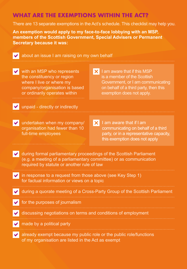# **WHAT ARE THE EXEMPTIONS WITHIN THE ACT?**

There are 13 separate exemptions in the Act's schedule. This checklist may help you.

**An exemption would apply to my face-to-face lobbying with an MSP, members of the Scottish Government, Special Advisers or Permanent Secretary because it was:**



about an issue I am raising on my own behalf

- $\vee$  with an MSP who represents the constituency or region where I live or where my company/organisation is based or ordinarily operates within
- $\times$  I am aware that if this MSP is a member of the Scottish Government, or I am communicating on behalf of a third party, then this exemption does not apply.

unpaid - directly or indirectly

- undertaken when my company/ organisation had fewer than 10 full-time employees
- $\mathsf{\times}$  I am aware that if I am communicating on behalf of a third party, or in a representative capacity, this exemption does not apply
- during formal parliamentary proceedings of the Scottish Parliament (e.g. a meeting of a parliamentary committee) or as communication required by statute or another rule of law
- in response to a request from those above (see Key Step 1)  $\blacktriangledown$ for factual information or views on a topic
- during a quorate meeting of a Cross-Party Group of the Scottish Parliament
	- for the purposes of journalism
	- discussing negotiations on terms and conditions of employment
- made by a political party
	- already exempt because my public role or the public role/functions of my organisation are listed in the Act as exempt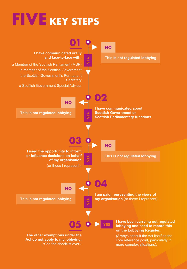# **FIVE KEY STEPS**